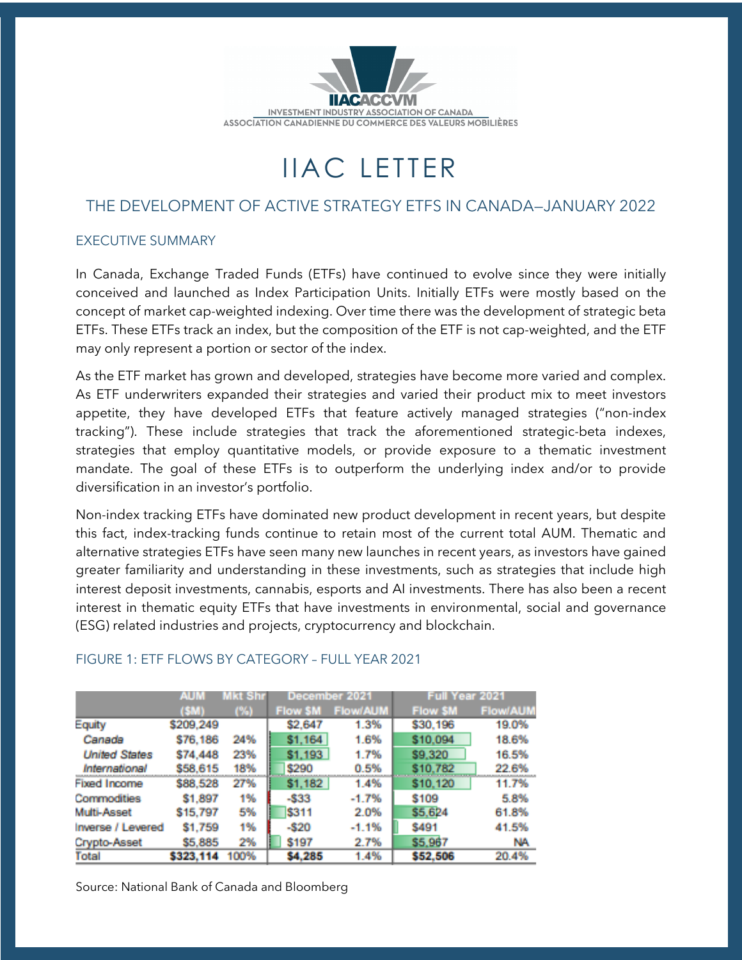

# IIAC LETTER

# THE DEVELOPMENT OF ACTIVE STRATEGY ETFS IN CANADA—JANUARY 2022

#### EXECUTIVE SUMMARY

In Canada, Exchange Traded Funds (ETFs) have continued to evolve since they were initially conceived and launched as Index Participation Units. Initially ETFs were mostly based on the concept of market cap-weighted indexing. Over time there was the development of strategic beta ETFs. These ETFs track an index, but the composition of the ETF is not cap-weighted, and the ETF may only represent a portion or sector of the index.

As the ETF market has grown and developed, strategies have become more varied and complex. As ETF underwriters expanded their strategies and varied their product mix to meet investors appetite, they have developed ETFs that feature actively managed strategies ("non-index tracking"). These include strategies that track the aforementioned strategic-beta indexes, strategies that employ quantitative models, or provide exposure to a thematic investment mandate. The goal of these ETFs is to outperform the underlying index and/or to provide diversification in an investor's portfolio.

Non-index tracking ETFs have dominated new product development in recent years, but despite this fact, index-tracking funds continue to retain most of the current total AUM. Thematic and alternative strategies ETFs have seen many new launches in recent years, as investors have gained greater familiarity and understanding in these investments, such as strategies that include high interest deposit investments, cannabis, esports and AI investments. There has also been a recent interest in thematic equity ETFs that have investments in environmental, social and governance (ESG) related industries and projects, cryptocurrency and blockchain.

|                      | AUM<br>Mkt Shr |      | December 2021  |                 | <b>Full Year 2021</b> |                 |
|----------------------|----------------|------|----------------|-----------------|-----------------------|-----------------|
|                      | (SM)           | (%)  | <b>Flow SM</b> | <b>Flow/AUM</b> | <b>Flow SM</b>        | <b>Flow/AUM</b> |
| Equity               | \$209,249      |      | \$2,647        | 1.3%            | \$30,196              | 19.0%           |
| Canada               | \$76,186       | 24%  | <b>S1.164</b>  | 1.6%            | \$10,094              | 18.6%           |
| <b>United States</b> | \$74,448       | 23%  | \$1,193        | 1.7%            | \$9,320               | 16.5%           |
| International        | \$58,615       | 18%  | \$290          | 0.5%            | \$10.782              | 22.6%           |
| Fixed Income         | \$88,528       | 27%  | \$1,182        | 1.4%            | \$10,120              | 11.7%           |
| Commodities          | \$1,897        | 1%   | $-533$         | $-1.7%$         | \$109                 | 5.8%            |
| Multi-Asset          | \$15,797       | 5%   | \$311          | 2.0%            | \$5,624               | 61.8%           |
| Inverse / Levered    | \$1,759        | 1%   | $-520$         | $-1.1%$         | \$491                 | 41.5%           |
| Crypto-Asset         | \$5,885        | 2%   | \$197          | 2.7%            | \$5,967               | NA              |
| Total                | \$323,114      | 100% | \$4,285        | 1.4%            | \$52,506              | 20.4%           |

## FIGURE 1: ETF FLOWS BY CATEGORY – FULL YEAR 2021

Source: National Bank of Canada and Bloomberg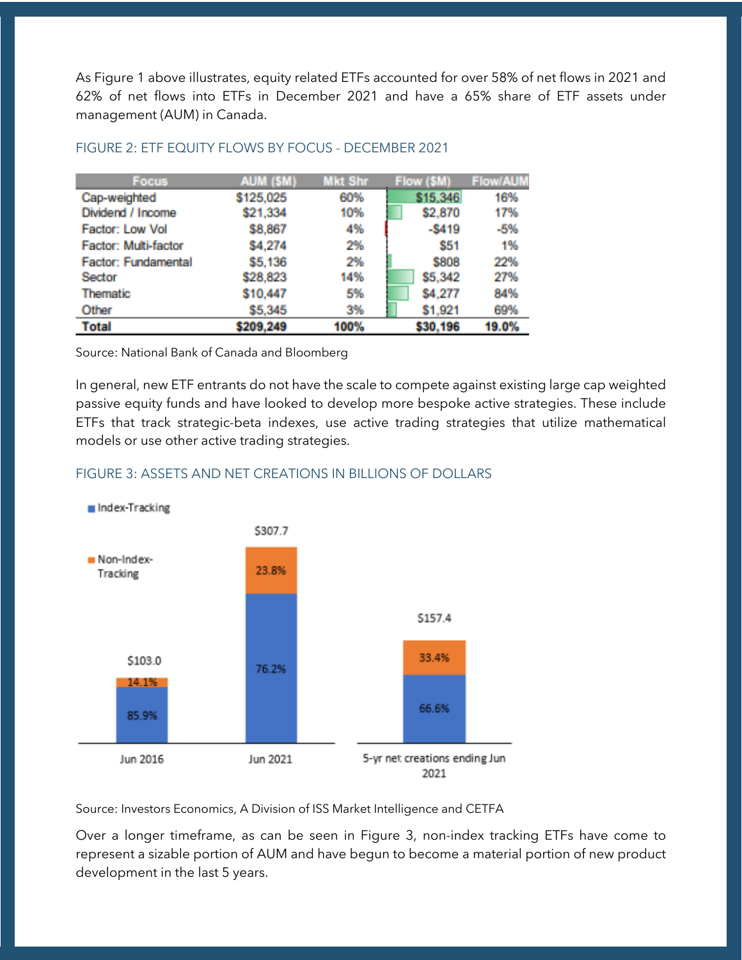As Figure 1 above illustrates, equity related ETFs accounted for over 58% of net flows in 2021 and 62% of net flows into ETFs in December 2021 and have a 65% share of ETF assets under management (AUM) in Canada.

| <b>Focus</b>               | AUM (\$M) | <b>Mkt Shr</b> | Flow (\$M) | <b>Flow/AUM</b> |
|----------------------------|-----------|----------------|------------|-----------------|
| Cap-weighted               | \$125,025 | 60%            | \$15,346   | 16%             |
| Dividend / Income          | \$21,334  | 10%            | \$2,870    | 17%             |
| Factor: Low Vol            | \$8,867   | 4%             | $-5419$    | $-5%$           |
| Factor: Multi-factor       | \$4,274   | 2%             | \$51       | 1%              |
| <b>Factor: Fundamental</b> | \$5,136   | 2%             | \$808      | 22%             |
| Sector                     | \$28,823  | 14%            | \$5,342    | 27%             |
| Thematic                   | \$10,447  | 5%             | \$4,277    | 84%             |
| Other                      | \$5,345   | 3%             | \$1,921    | 69%             |
| <b>Total</b>               | \$209,249 | 100%           | \$30,196   | 19.0%           |

#### FIGURE 2: ETF EQUITY FLOWS BY FOCUS - DECEMBER 2021

Source: National Bank of Canada and Bloomberg

In general, new ETF entrants do not have the scale to compete against existing large cap weighted passive equity funds and have looked to develop more bespoke active strategies. These include ETFs that track strategic-beta indexes, use active trading strategies that utilize mathematical models or use other active trading strategies.

## FIGURE 3: ASSETS AND NET CREATIONS IN BILLIONS OF DOLLARS



Source: Investors Economics, A Division of ISS Market Intelligence and CETFA

Over a longer timeframe, as can be seen in Figure 3, non-index tracking ETFs have come to represent a sizable portion of AUM and have begun to become a material portion of new product development in the last 5 years.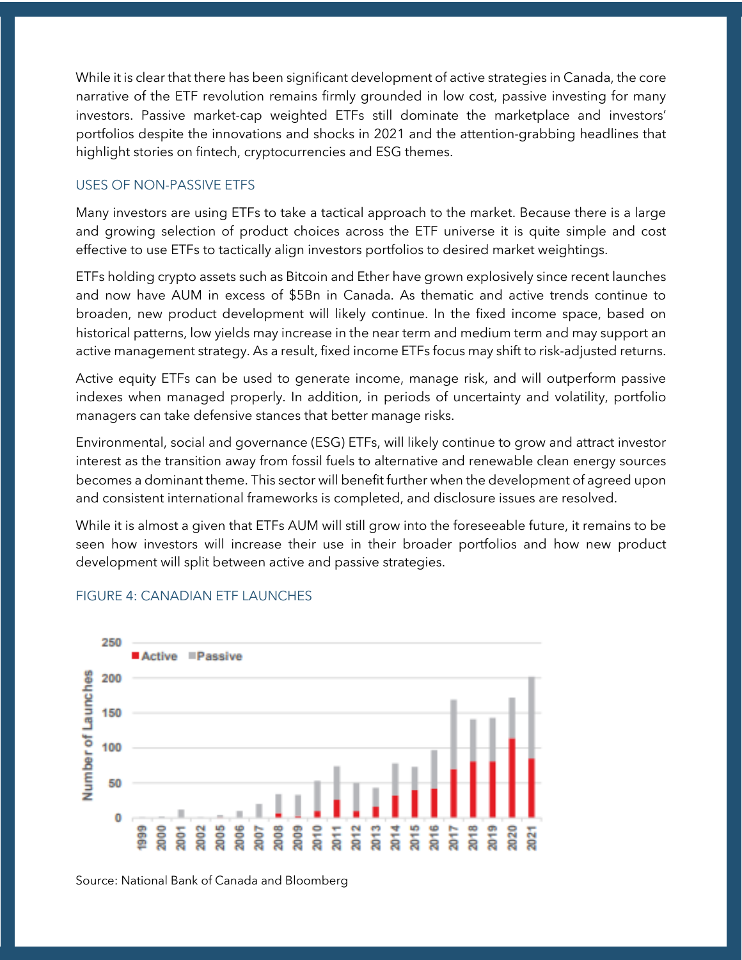While it is clear that there has been significant development of active strategies in Canada, the core narrative of the ETF revolution remains firmly grounded in low cost, passive investing for many investors. Passive market-cap weighted ETFs still dominate the marketplace and investors' portfolios despite the innovations and shocks in 2021 and the attention-grabbing headlines that highlight stories on fintech, cryptocurrencies and ESG themes.

#### USES OF NON-PASSIVE ETFS

Many investors are using ETFs to take a tactical approach to the market. Because there is a large and growing selection of product choices across the ETF universe it is quite simple and cost effective to use ETFs to tactically align investors portfolios to desired market weightings.

ETFs holding crypto assets such as Bitcoin and Ether have grown explosively since recent launches and now have AUM in excess of \$5Bn in Canada. As thematic and active trends continue to broaden, new product development will likely continue. In the fixed income space, based on historical patterns, low yields may increase in the near term and medium term and may support an active management strategy. As a result, fixed income ETFs focus may shift to risk-adjusted returns.

Active equity ETFs can be used to generate income, manage risk, and will outperform passive indexes when managed properly. In addition, in periods of uncertainty and volatility, portfolio managers can take defensive stances that better manage risks.

Environmental, social and governance (ESG) ETFs, will likely continue to grow and attract investor interest as the transition away from fossil fuels to alternative and renewable clean energy sources becomes a dominant theme. This sector will benefit further when the development of agreed upon and consistent international frameworks is completed, and disclosure issues are resolved.

While it is almost a given that ETFs AUM will still grow into the foreseeable future, it remains to be seen how investors will increase their use in their broader portfolios and how new product development will split between active and passive strategies.



#### FIGURE 4: CANADIAN ETF LAUNCHES

Source: National Bank of Canada and Bloomberg